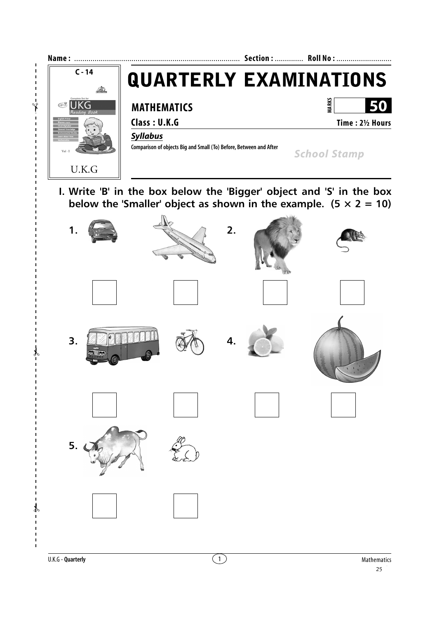

 $\frac{1}{2}$ 

 $\overline{1}$  $\begin{array}{c} \hline \end{array}$  $\mathbf{I}$ f

 $\mathbf{I}$ 

 $\mathbf{I}$  $\mathbf I$  $\mathbf{I}$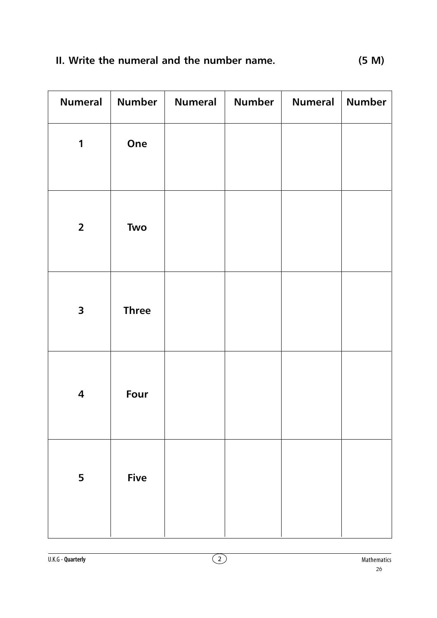| <b>Numeral</b>          | <b>Number</b> | <b>Numeral</b> | <b>Number</b> | <b>Numeral</b> | <b>Number</b> |
|-------------------------|---------------|----------------|---------------|----------------|---------------|
| 1                       | One           |                |               |                |               |
| $\overline{2}$          | Two           |                |               |                |               |
| $\overline{\mathbf{3}}$ | <b>Three</b>  |                |               |                |               |
| $\overline{\mathbf{4}}$ | Four          |                |               |                |               |
| 5                       | <b>Five</b>   |                |               |                |               |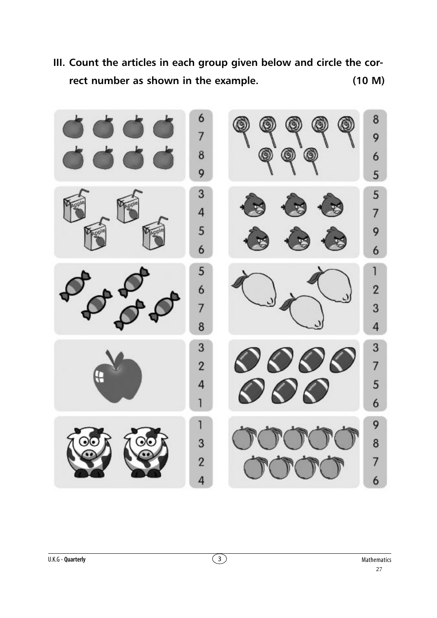

**III. Count the articles in each group given below and circle the correct number as shown in the example. (10 M)**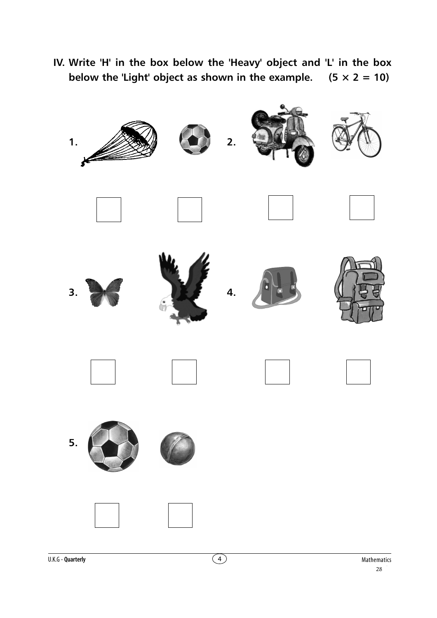**IV. Write 'H' in the box below the 'Heavy' object and 'L' in the box below the 'Light' object as shown in the example.**  $(5 \times 2 = 10)$